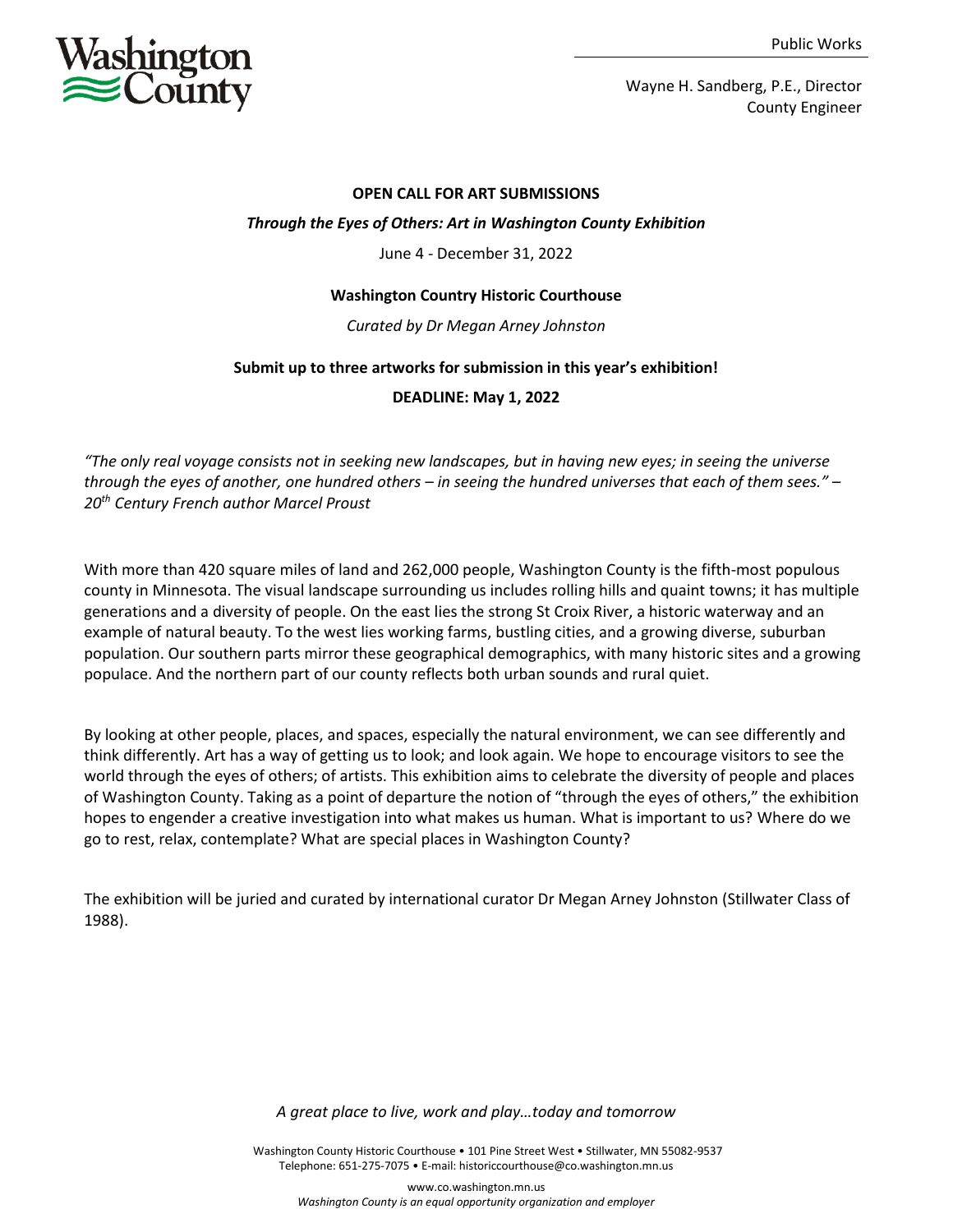

Wayne H. Sandberg, P.E., Director County Engineer

#### **OPEN CALL FOR ART SUBMISSIONS**

### *Through the Eyes of Others: Art in Washington County Exhibition*

June 4 - December 31, 2022

### **Washington Country Historic Courthouse**

### *Curated by Dr Megan Arney Johnston*

### **Submit up to three artworks for submission in this year's exhibition!**

# **DEADLINE: May 1, 2022**

*"The only real voyage consists not in seeking new landscapes, but in having new eyes; in seeing the universe through the eyes of another, one hundred others – in seeing the hundred universes that each of them sees." – 20th Century French author Marcel Proust*

With more than 420 square miles of land and 262,000 people, Washington County is the fifth-most populous county in Minnesota. The visual landscape surrounding us includes rolling hills and quaint towns; it has multiple generations and a diversity of people. On the east lies the strong St Croix River, a historic waterway and an example of natural beauty. To the west lies working farms, bustling cities, and a growing diverse, suburban population. Our southern parts mirror these geographical demographics, with many historic sites and a growing populace. And the northern part of our county reflects both urban sounds and rural quiet.

By looking at other people, places, and spaces, especially the natural environment, we can see differently and think differently. Art has a way of getting us to look; and look again. We hope to encourage visitors to see the world through the eyes of others; of artists. This exhibition aims to celebrate the diversity of people and places of Washington County. Taking as a point of departure the notion of "through the eyes of others," the exhibition hopes to engender a creative investigation into what makes us human. What is important to us? Where do we go to rest, relax, contemplate? What are special places in Washington County?

The exhibition will be juried and curated by international curator Dr Megan Arney Johnston (Stillwater Class of 1988).

*A great place to live, work and play…today and tomorrow*

 Washington County Historic Courthouse • 101 Pine Street West • Stillwater, MN 55082-9537 Telephone: 651-275-7075 • E-mail: historiccourthouse@co.washington.mn.us

www.co.washington.mn.us *Washington County is an equal opportunity organization and employer*